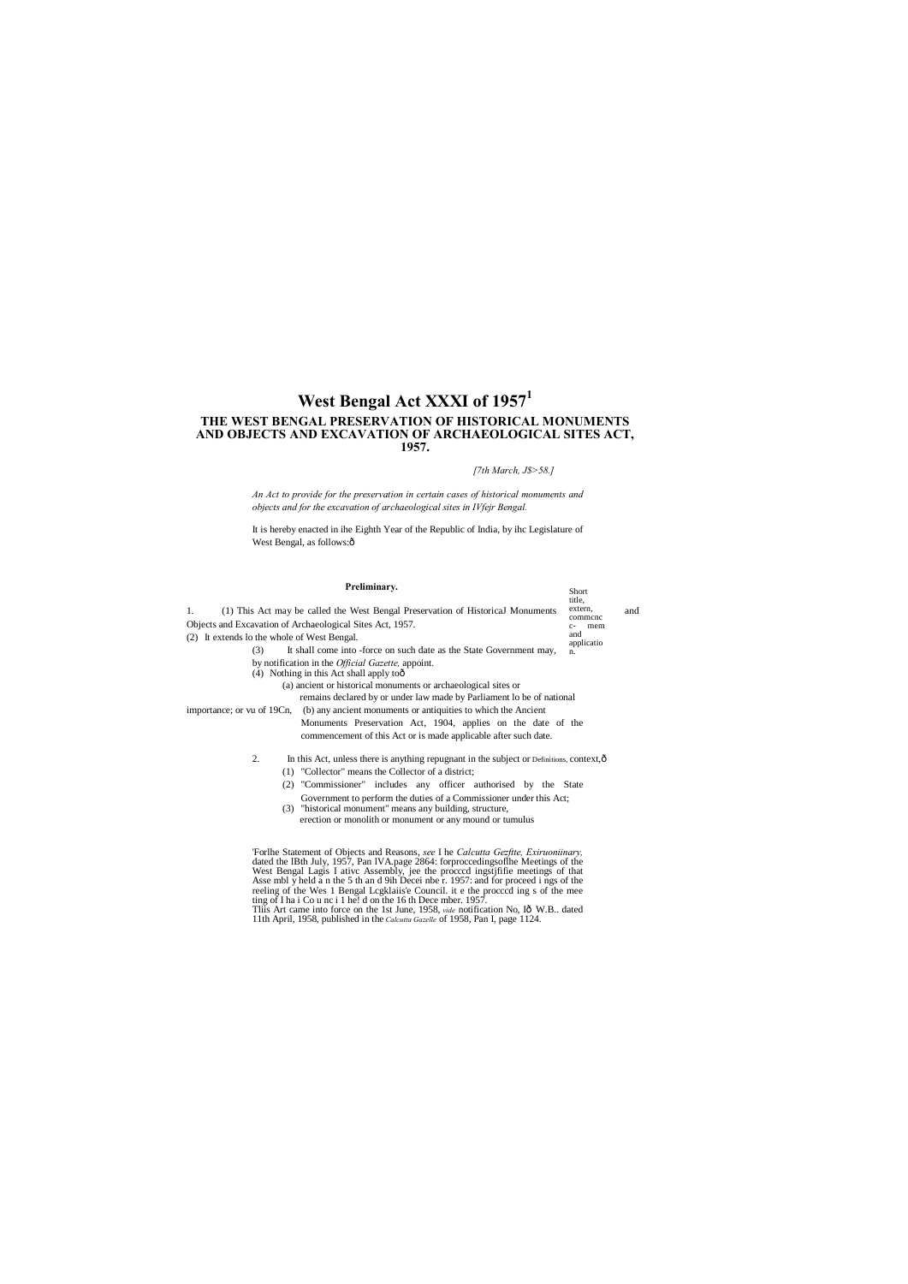# **West Bengal Act XXXI of 1957<sup>1</sup> THE WEST BENGAL PRESERVATION OF HISTORICAL MONUMENTS AND OBJECTS AND EXCAVATION OF ARCHAEOLOGICAL SITES ACT, 1957.**

It is hereby enacted in ihe Eighth Year of the Republic of India, by ihc Legislature of West Bengal, as follows:ô

*[7th March, J\$>58.]*

*An Act to provide for the preservation in certain cases of historical monuments and objects and for the excavation of archaeological sites in IVfejr Bengal.*

| Preliminary.                                                                                                                                                                                                                                                                                                                                                                                                                   | Short<br>title,    |     |
|--------------------------------------------------------------------------------------------------------------------------------------------------------------------------------------------------------------------------------------------------------------------------------------------------------------------------------------------------------------------------------------------------------------------------------|--------------------|-----|
| (1) This Act may be called the West Bengal Preservation of Historical Monuments<br>1.                                                                                                                                                                                                                                                                                                                                          | extern,<br>commene | and |
| Objects and Excavation of Archaeological Sites Act, 1957.                                                                                                                                                                                                                                                                                                                                                                      | mem<br>c-          |     |
| (2) It extends lo the whole of West Bengal.                                                                                                                                                                                                                                                                                                                                                                                    | and<br>applicatio  |     |
| It shall come into -force on such date as the State Government may,<br>(3)                                                                                                                                                                                                                                                                                                                                                     | n.                 |     |
| by notification in the <i>Official Gazette</i> , appoint.<br>(4) Nothing in this Act shall apply too<br>(a) ancient or historical monuments or archaeological sites or<br>remains declared by or under law made by Parliament lo be of national                                                                                                                                                                                |                    |     |
| importance; or vu of 19Cn, (b) any ancient monuments or antiquities to which the Ancient<br>Monuments Preservation Act, 1904, applies on the date of the<br>commencement of this Act or is made applicable after such date.                                                                                                                                                                                                    |                    |     |
| 2.<br>In this Act, unless there is anything repugnant in the subject or Definitions, context, $\hat{o}$<br>(1) "Collector" means the Collector of a district;<br>(2) "Commissioner" includes any officer authorised by the State<br>Government to perform the duties of a Commissioner under this Act;<br>(3) "historical monument" means any building, structure,<br>erection or monolith or monument or any mound or tumulus |                    |     |
| For the Statement of Objects and Reasons, see I he Calcutta Gezfite, Exiruoniinary,<br>dated the IBth July, 1957, Pan IVA page 2864: forproccedings of the Meetings of the                                                                                                                                                                                                                                                     |                    |     |

West Bengal Lagis I ativc Assembly, jee the procccd ingstjfifie meetings of that Asse mbl y held a n the 5 th an d 9ih Decei nbe r. 1957: and for proceed i ngs of the reeling of the Wes 1 Bengal Lcgklaiis'e Council. it e the procccd ing s of the mee ting of I ha i Co u nc i 1 he! d on the 16 th Dece mber. 1957. This Art came into force on the 1st June, 1958, *vide* notification No, Iô W.B.. dated 11th April, 1958, published in the *Calcutta Gazelle* of 1958, Pan I, page 1124.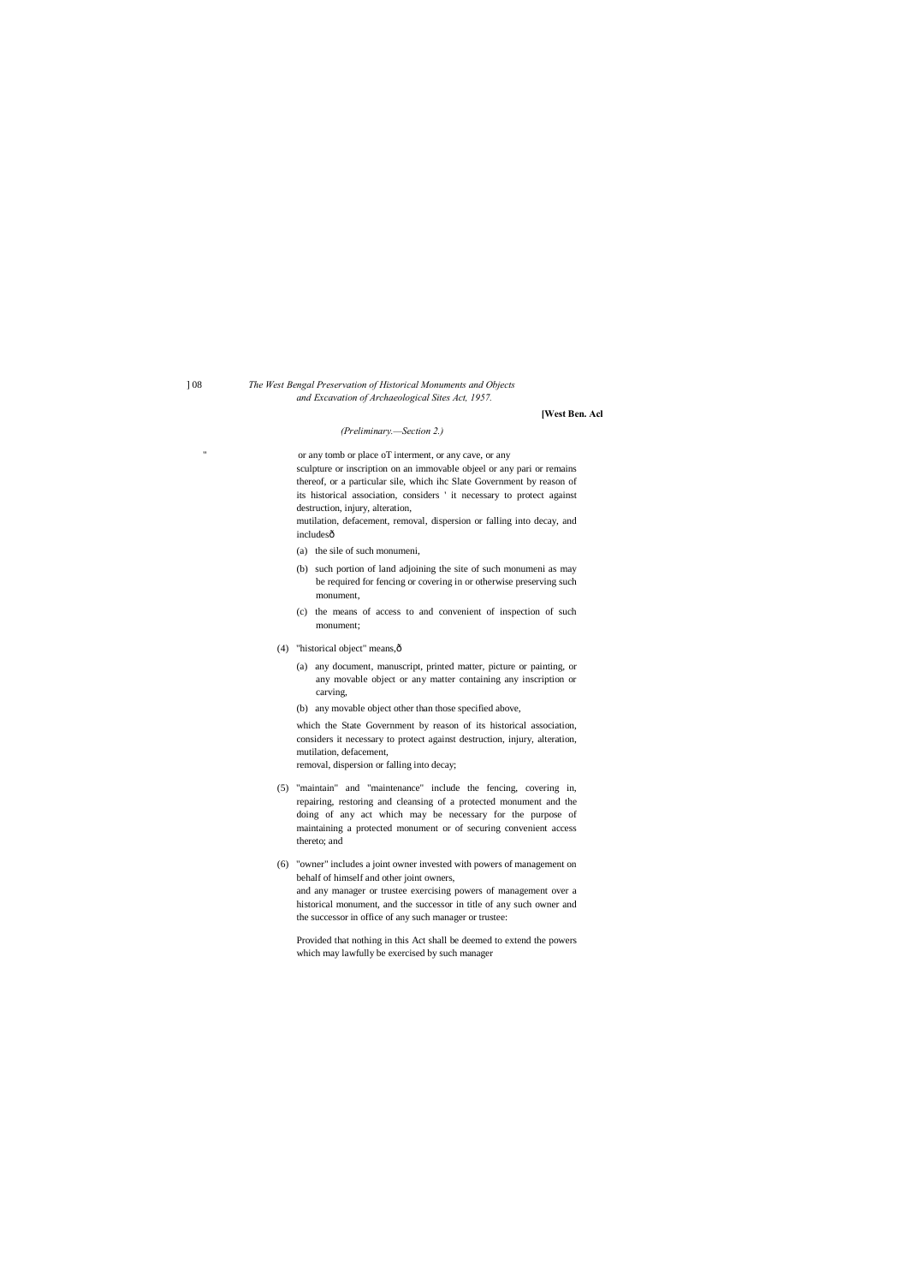### ] 08 *The West Bengal Preservation of Historical Monuments and Objects and Excavation of Archaeological Sites Act, 1957.*

#### **[West Ben. Acl**

#### *(Preliminary.—Section 2.)*

or any tomb or place oT interment, or any cave, or any

mutilation, defacement, removal, dispersion or falling into decay, and includesô

sculpture or inscription on an immovable objeel or any pari or remains thereof, or a particular sile, which ihc Slate Government by reason of its historical association, considers ' it necessary to protect against destruction, injury, alteration,

- (a) the sile of such monumeni,
- (b) such portion of land adjoining the site of such monumeni as may be required for fencing or covering in or otherwise preserving such monument,
- (c) the means of access to and convenient of inspection of such monument;
- (4) "historical object" means, $\hat{o}$ 
	- (a) any document, manuscript, printed matter, picture or painting, or any movable object or any matter containing any inscription or carving,
	- (b) any movable object other than those specified above,

which the State Government by reason of its historical association, considers it necessary to protect against destruction, injury, alteration, mutilation, defacement, removal, dispersion or falling into decay;

- (5) "maintain" and "maintenance" include the fencing, covering in, repairing, restoring and cleansing of a protected monument and the doing of any act which may be necessary for the purpose of maintaining a protected monument or of securing convenient access thereto; and
- (6) "owner" includes a joint owner invested with powers of management on behalf of himself and other joint owners, and any manager or trustee exercising powers of management over a historical monument, and the successor in title of any such owner and the successor in office of any such manager or trustee:

Provided that nothing in this Act shall be deemed to extend the powers which may lawfully be exercised by such manager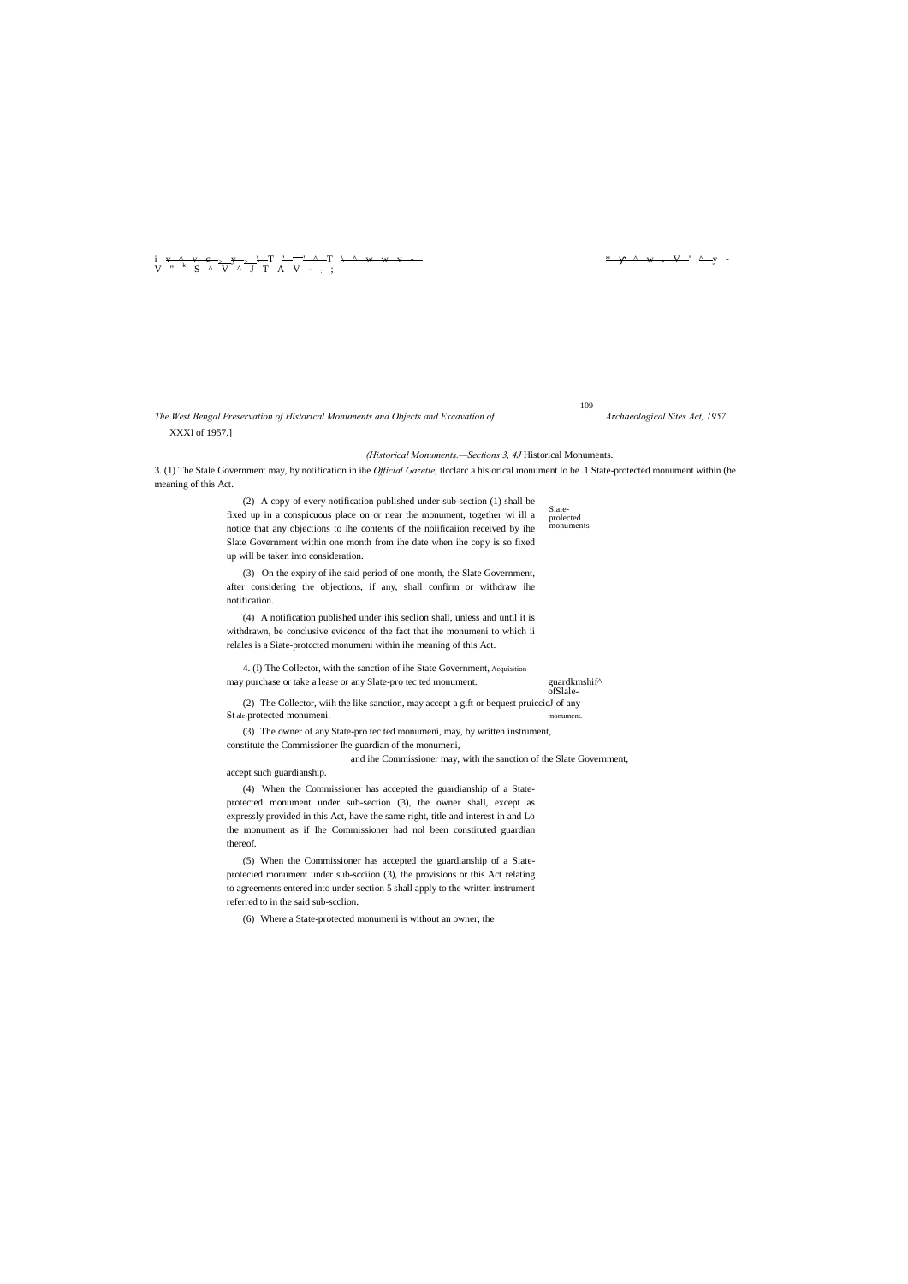Siaie- prolected monuments.

<sup>i</sup> v ^ v c <sup>&</sup>gt; <sup>y</sup> <sup>&</sup>gt; \ <sup>T</sup> ' , ' ^ <sup>T</sup> \ ^ w w v - \* ^ w . V ' ^ <sup>y</sup> - V " <sup>k</sup> S ^ V ^ J T A V - : ;

## *The West Bengal Preservation of Historical Monuments and Objects and Excavation of Archaeological Sites Act, 1957.* XXXI of 1957.]

#### *(Historical Monuments.—Sections 3, 4J* Historical Monuments.

3. (1) The Stale Government may, by notification in ihe *Official Gazette,* tlcclarc a hisiorical monument lo be .1 State-protected monument within (he meaning of this Act.

> 4. (I) The Collector, with the sanction of ihe State Government, Acquisition may purchase or take a lease or any Slate-pro tec ted monument. guardkmshif<sup>^</sup>

(2) A copy of every notification published under sub-section (1) shall be fixed up in a conspicuous place on or near the monument, together wi ill a notice that any objections to ihe contents of the noiificaiion received by ihe Slate Government within one month from ihe date when ihe copy is so fixed up will be taken into consideration.

(2) The Collector, wiih the like sanction, may accept a gift or bequest pruiccicJ of any St ale-protected monumeni. monument

(3) On the expiry of ihe said period of one month, the Slate Government, after considering the objections, if any, shall confirm or withdraw ihe notification.

(4) A notification published under ihis seclion shall, unless and until it is withdrawn, be conclusive evidence of the fact that ihe monumeni to which ii relales is a Siate-protccted monumeni within ihe meaning of this Act.

ofSlale-

(3) The owner of any State-pro tec ted monumeni, may, by written instrument, constitute the Commissioner Ihe guardian of the monumeni,

and ihe Commissioner may, with the sanction of the Slate Government,

accept such guardianship.

(4) When the Commissioner has accepted the guardianship of a Stateprotected monument under sub-section (3), the owner shall, except as expressly provided in this Act, have the same right, title and interest in and Lo the monument as if Ihe Commissioner had nol been constituted guardian thereof.

(5) When the Commissioner has accepted the guardianship of a Siateprotecied monument under sub-scciion (3), the provisions or this Act relating to agreements entered into under section 5 shall apply to the written instrument referred to in the said sub-scclion.

(6) Where a State-protected monumeni is without an owner, the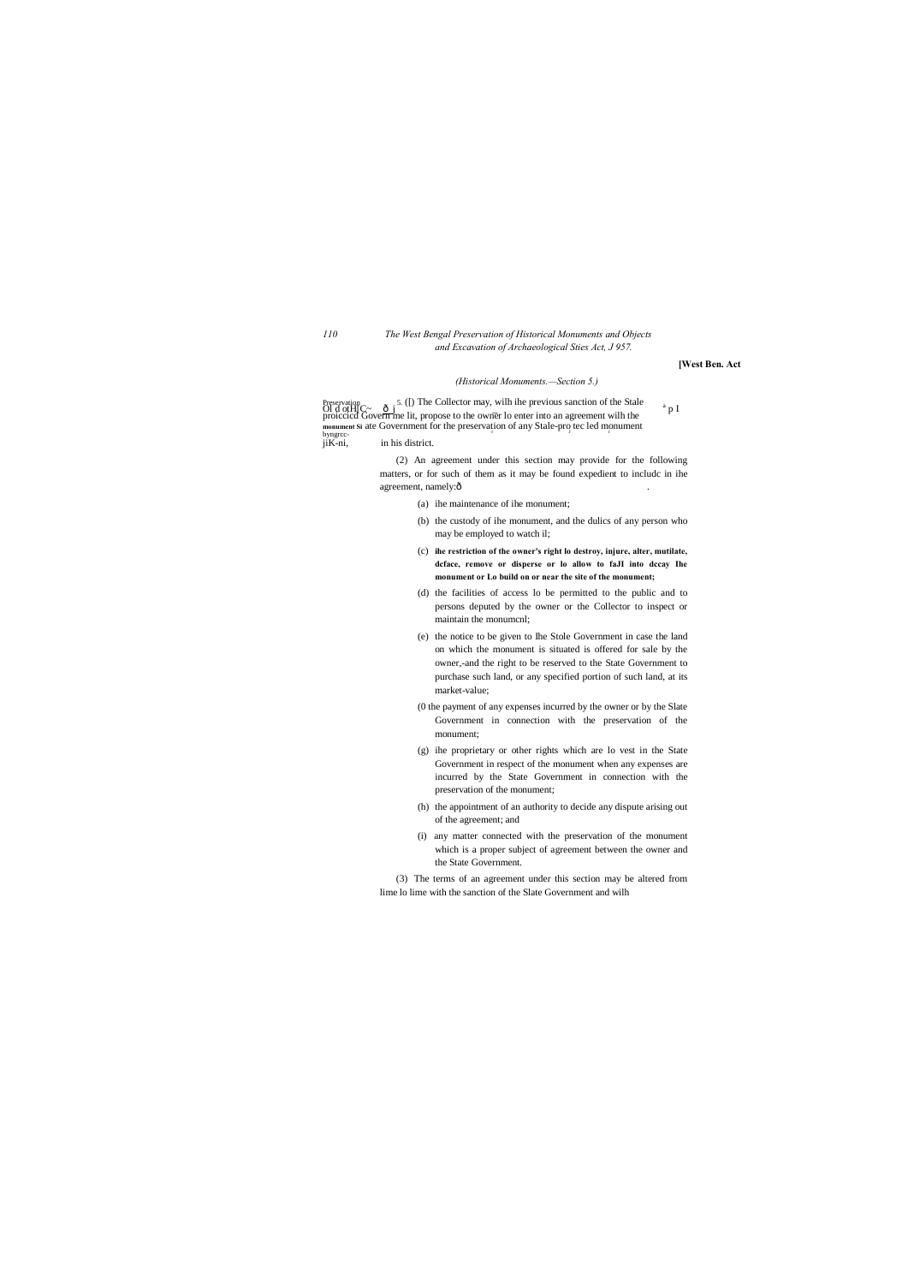### *110 The West Bengal Preservation of Historical Monuments and Objects and Excavation of Archaeological Sties Act, J 957.*

# **[West Ben. Act**

#### *(Historical Monuments.—Section 5.)*

Preservation 5. ([) The Collector may, wilh ihe previous sanction of the Stale of d other  $\frac{1}{2}$  p I proiccicd Govern me lit, propose to the owner lo enter into an agreement wilh the **monument Si ate Government for the preservation of any Stale-pro tec led monument** byngrccbyngrcc-<br>jiK-ni, in his district.

> (2) An agreement under this section may provide for the following matters, or for such of them as it may be found expedient to includc in ihe agreement, namely:ô

> > (a) ihe maintenance of ihe monument;

- (b) the custody of ihe monument, and the dulics of any person who may be employed to watch il;
- (c) **ihe restriction of the owner's right lo destroy, injure, alter, mutilate, dcface, remove or disperse or lo allow to faJI into dccay Ihe monument or Lo build on or near the site of the monument;**
- (d) the facilities of access lo be permitted to the public and to persons deputed by the owner or the Collector to inspect or maintain the monumcnl;
- (e) the notice to be given to Ihe Stole Government in case the land on which the monument is situated is offered for sale by the owner,-and the right to be reserved to the State Government to purchase such land, or any specified portion of such land, at its market-value;
- (0 the payment of any expenses incurred by the owner or by the Slate Government in connection with the preservation of the monument;
- (g) ihe proprietary or other rights which are lo vest in the State Government in respect of the monument when any expenses are incurred by the State Government in connection with the preservation of the monument;
- (h) the appointment of an authority to decide any dispute arising out of the agreement; and
- (i) any matter connected with the preservation of the monument which is a proper subject of agreement between the owner and the State Government.

(3) The terms of an agreement under this section may be altered from lime lo lime with the sanction of the Slate Government and wilh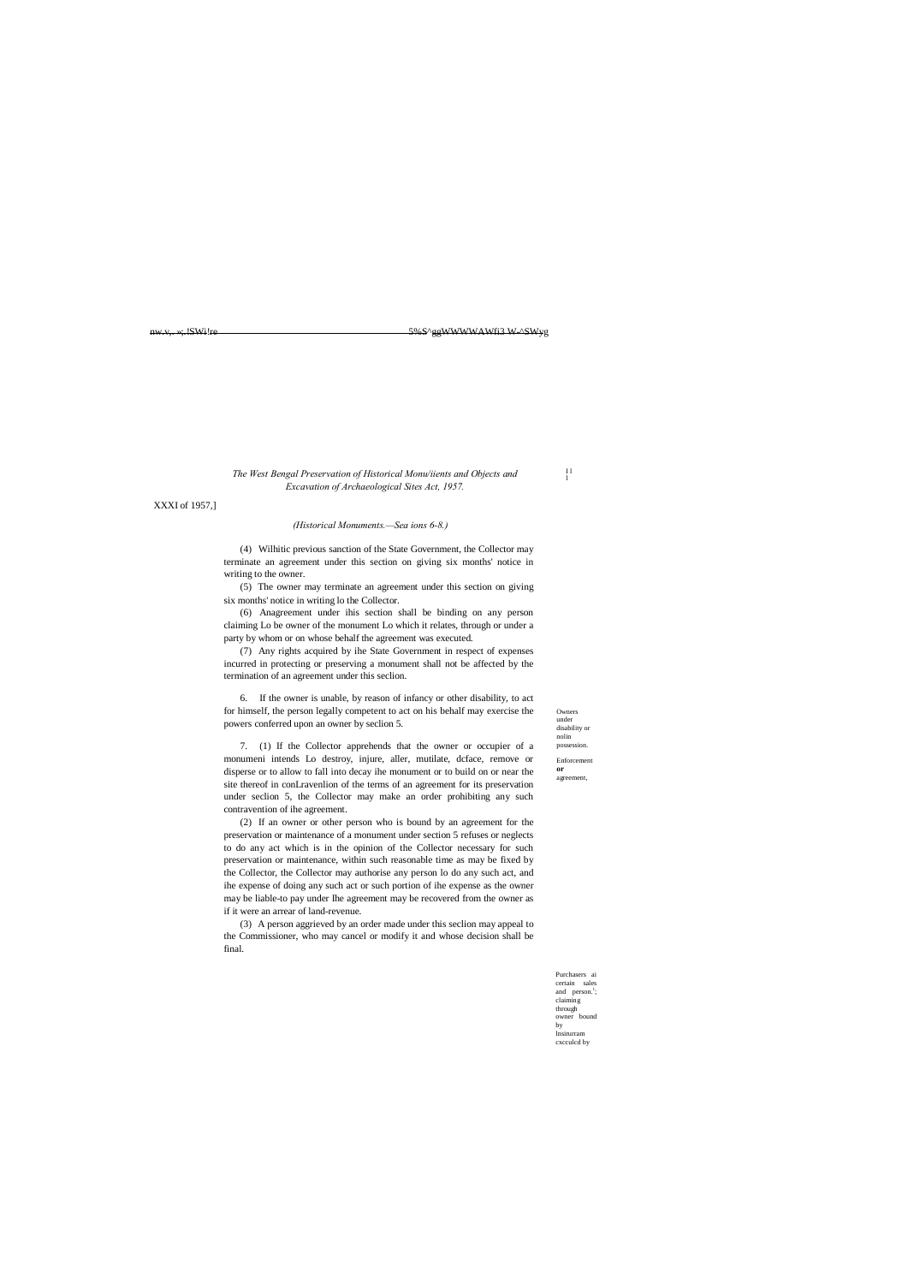I l l

Owners under disability or nolin possession. Enforcement **or** agreement,

Purchasers ai certain sales and  $person.<sup>1</sup>$ ; claiming through owner bound by lnsirurram cxcculcd by

nw.v,. »;.!SWi!re 5%S^ggWWWWAWfi3 W-^SWyg

### *The West Bengal Preservation of Historical Monu/iients and Objects and Excavation of Archaeological Sites Act, 1957.*

XXXI of 1957,]

#### *(Historical Monuments.—Sea ions 6-8.)*

(4) Wilhitic previous sanction of the State Government, the Collector may terminate an agreement under this section on giving six months' notice in writing to the owner.

(5) The owner may terminate an agreement under this section on giving six months' notice in writing lo the Collector.

(6) Anagreement under ihis section shall be binding on any person claiming Lo be owner of the monument Lo which it relates, through or under a party by whom or on whose behalf the agreement was executed.

(7) Any rights acquired by ihe State Government in respect of expenses incurred in protecting or preserving a monument shall not be affected by the termination of an agreement under this seclion.

6. If the owner is unable, by reason of infancy or other disability, to act for himself, the person legally competent to act on his behalf may exercise the powers conferred upon an owner by seclion 5.

7. (1) If the Collector apprehends that the owner or occupier of a monumeni intends Lo destroy, injure, aller, mutilate, dcface, remove or disperse or to allow to fall into decay ihe monument or to build on or near the site thereof in conLravenlion of the terms of an agreement for its preservation under seclion 5, the Collector may make an order prohibiting any such contravention of ihe agreement.

(2) If an owner or other person who is bound by an agreement for the preservation or maintenance of a monument under section 5 refuses or neglects to do any act which is in the opinion of the Collector necessary for such preservation or maintenance, within such reasonable time as may be fixed by the Collector, the Collector may authorise any person lo do any such act, and ihe expense of doing any such act or such portion of ihe expense as the owner may be liable-to pay under Ihe agreement may be recovered from the owner as if it were an arrear of land-revenue.

(3) A person aggrieved by an order made under this seclion may appeal to the Commissioner, who may cancel or modify it and whose decision shall be final.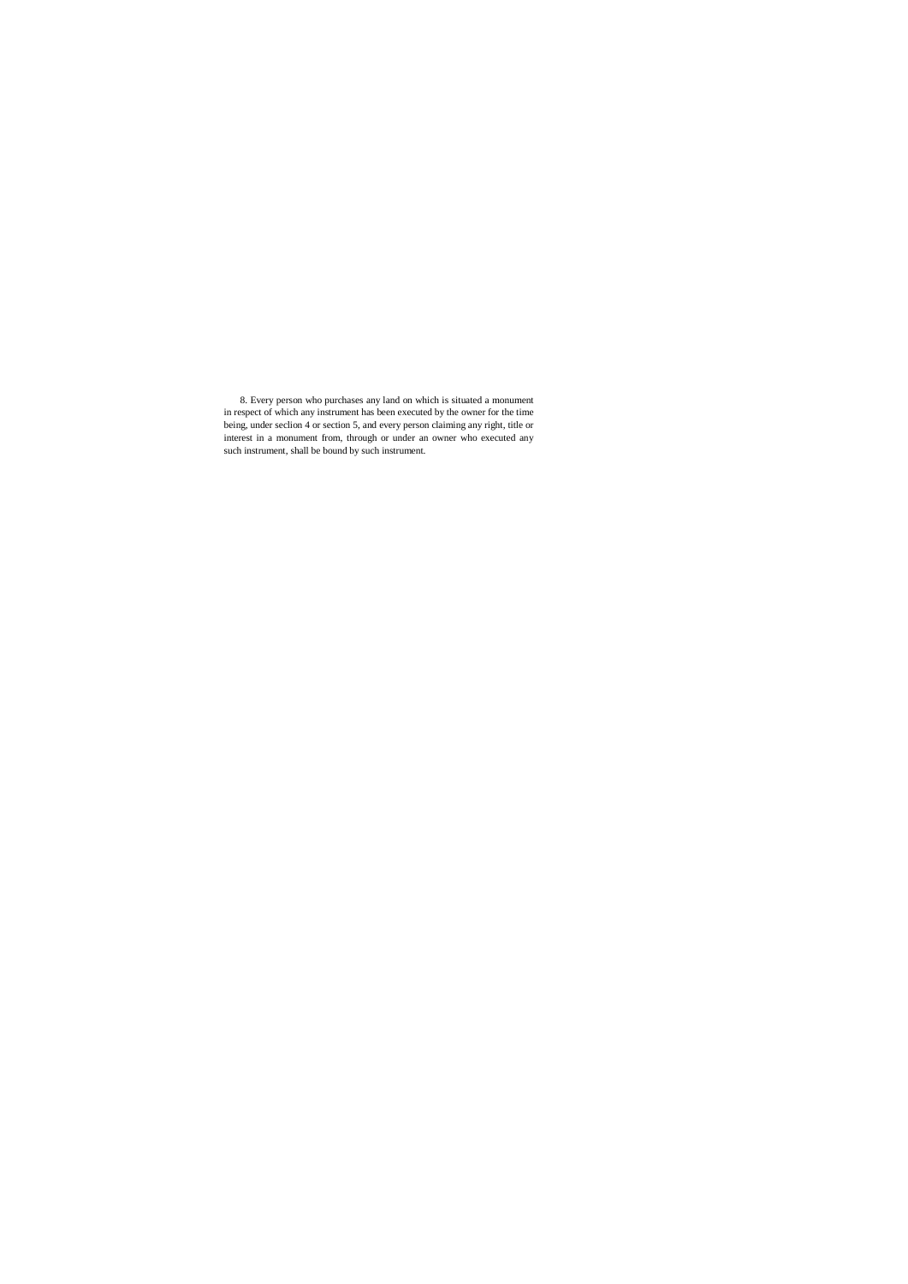8. Every person who purchases any land on which is situated a monument in respect of which any instrument has been executed by the owner for the time being, under seclion 4 or section 5, and every person claiming any right, title or interest in a monument from, through or under an owner who executed any such instrument, shall be bound by such instrument.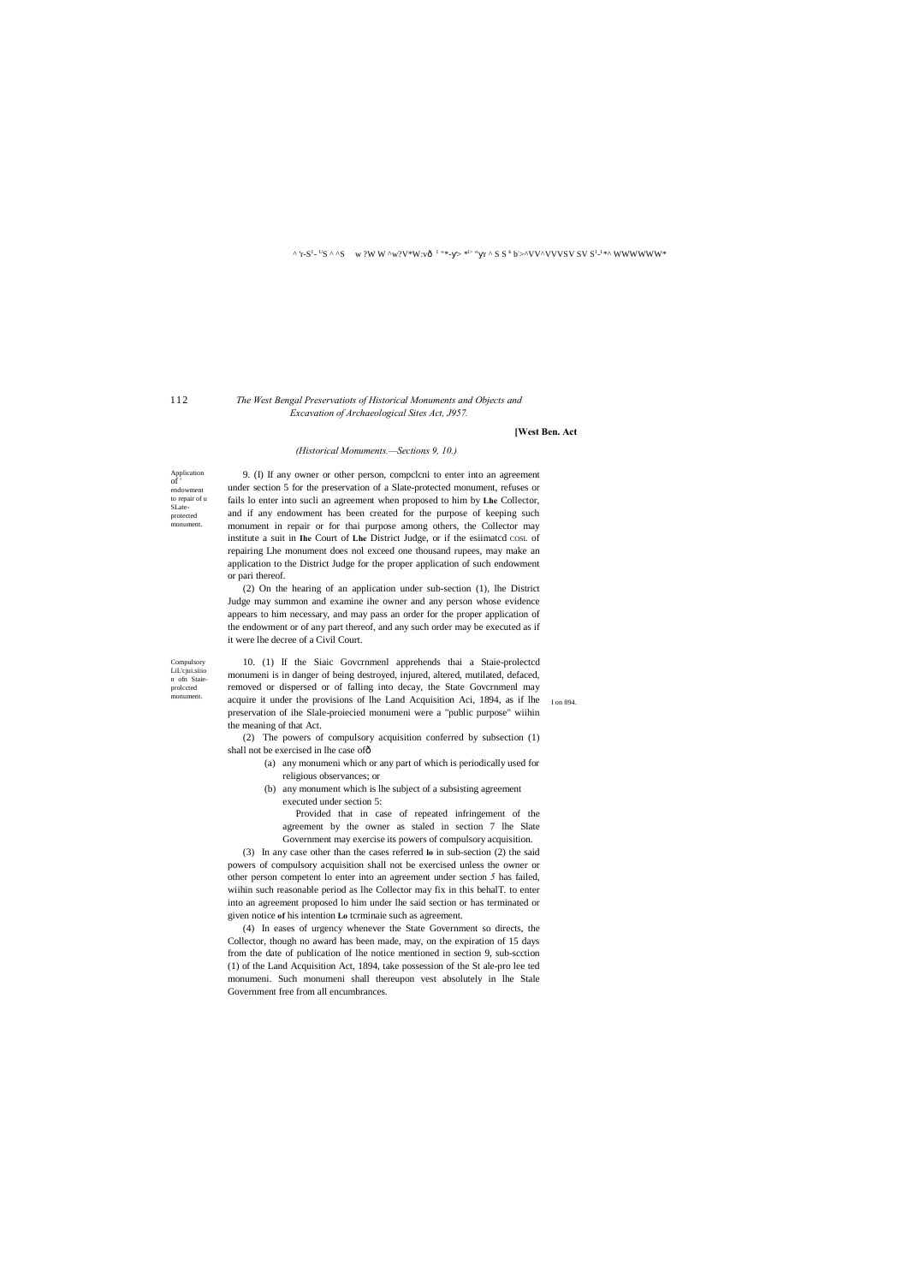#### ^ 'r-S<sup>1</sup>- <sup>U</sup>S ^ ^S w ?W W ^w?V\*W:vô <sup>1</sup> "\*- > \*<sup>|></sup> " r ^ S S <sup>k</sup> b>^VV^VVVSV SV S<sup>1</sup>-' \*^ WWWWW\*

### 112

Compulsory LiL'cjui.siiio n ofn Staieprolccted

Application  $of'$ endowmen to repair of u SLateprotected monument.

### *The West Bengal Preservatiots of Historical Monuments and Objects and Excavation of Archaeological Sites Act, J957.*

#### **[West Ben. Act**

#### *(Historical Monuments.—Sections 9, 10.)*

9. (I) If any owner or other person, compclcni to enter into an agreement under section 5 for the preservation of a Slate-protected monument, refuses or fails lo enter into sucli an agreement when proposed to him by **Lhe** Collector, and if any endowment has been created for the purpose of keeping such monument in repair or for thai purpose among others, the Collector may institute a suit in **Ihe** Court of **Lhe** District Judge, or if the esiimatcd COSL of repairing Lhe monument does nol exceed one thousand rupees, may make an application to the District Judge for the proper application of such endowment or pari thereof.

monument. acquire it under the provisions of lhe Land Acquisition Aci, 1894, as if lhe Ion 894. 10. (1) If the Siaic Govcrnmenl apprehends thai a Staie-prolectcd monumeni is in danger of being destroyed, injured, altered, mutilated, defaced, removed or dispersed or of falling into decay, the State Govcrnmenl may preservation of ihe Slale-proiecied monumeni were a "public purpose" wiihin the meaning of that Act.

(2) On the hearing of an application under sub-section (1), lhe District Judge may summon and examine ihe owner and any person whose evidence appears to him necessary, and may pass an order for the proper application of the endowment or of any part thereof, and any such order may be executed as if it were lhe decree of a Civil Court.

(2) The powers of compulsory acquisition conferred by subsection (1) shall not be exercised in lhe case of—

- (a) any monumeni which or any part of which is periodically used for religious observances; or
- (b) any monument which is lhe subject of a subsisting agreement executed under section 5:

Provided that in case of repeated infringement of the agreement by the owner as staled in section 7 lhe Slate Government may exercise its powers of compulsory acquisition.

(3) In any case other than the cases referred **lo** in sub-section (2) the said powers of compulsory acquisition shall not be exercised unless the owner or other person competent lo enter into an agreement under section *5* has failed, wiihin such reasonable period as lhe Collector may fix in this behalT. to enter into an agreement proposed lo him under lhe said section or has terminated or given notice **of** his intention **Lo** tcrminaie such as agreement.

(4) In eases of urgency whenever the State Government so directs, the Collector, though no award has been made, may, on the expiration of 15 days from the date of publication of lhe notice mentioned in section 9, sub-scction (1) of the Land Acquisition Act, 1894, take possession of the St ale-pro lee ted

monumeni. Such monumeni shall thereupon vest absolutely in lhe Stale Government free from all encumbrances.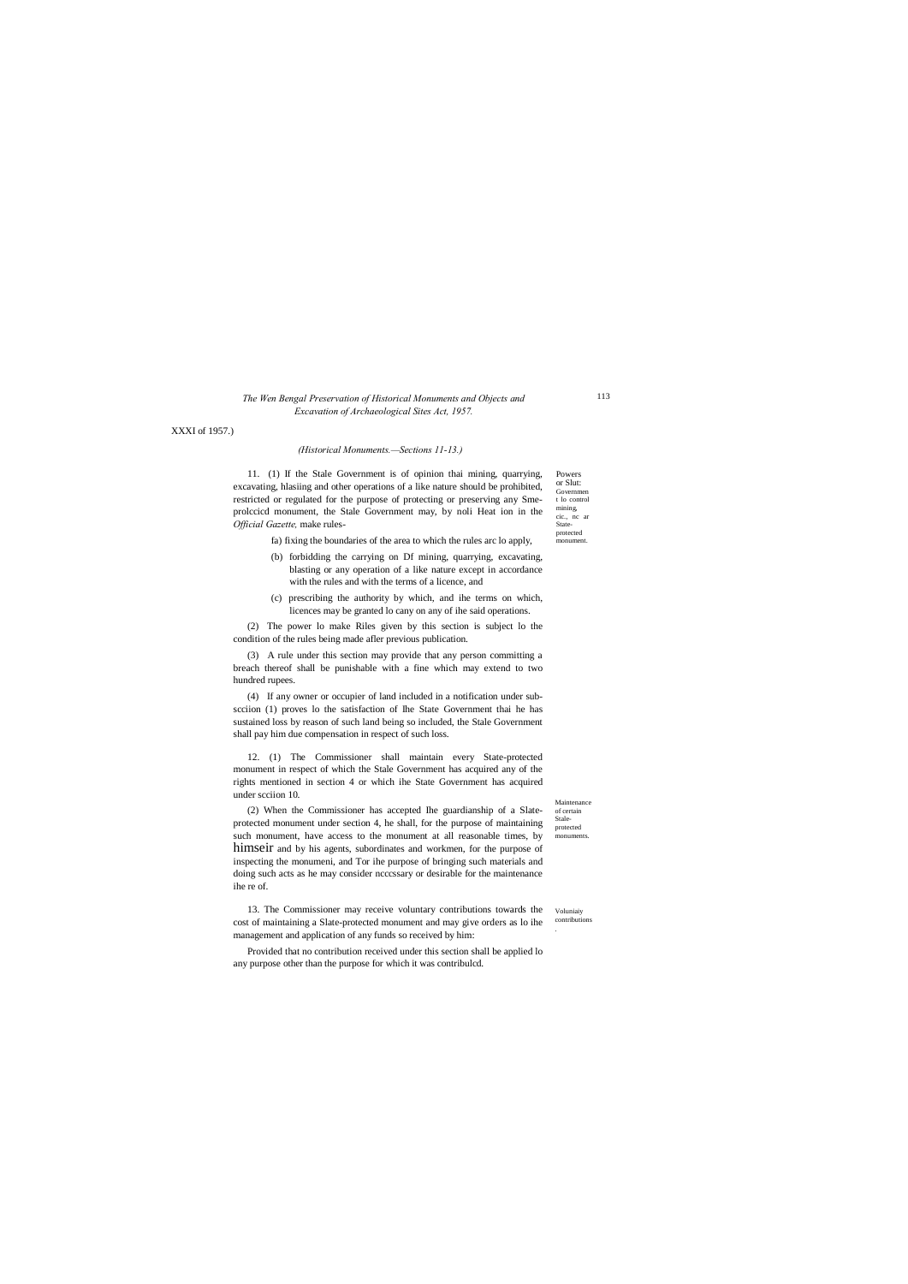or Slut: Governmen t lo control mining, cic., nc ar Stateprotected monument.

Maintenance of certain Staleprotected monuments.

### *The Wen Bengal Preservation of Historical Monuments and Objects and Excavation of Archaeological Sites Act, 1957.*

XXXI of 1957.)

### *(Historical Monuments.—Sections 11-13.)*

Powers 11. (1) If the Stale Government is of opinion thai mining, quarrying, excavating, hlasiing and other operations of a like nature should be prohibited, restricted or regulated for the purpose of protecting or preserving any Smeprolccicd monument, the Stale Government may, by noli Heat ion in the *Official Gazette,* make rules-

- fa) fixing the boundaries of the area to which the rules arc lo apply,
- (b) forbidding the carrying on Df mining, quarrying, excavating, blasting or any operation of a like nature except in accordance with the rules and with the terms of a licence, and
- (c) prescribing the authority by which, and ihe terms on which, licences may be granted lo cany on any of ihe said operations.

(2) The power lo make Riles given by this section is subject lo the condition of the rules being made afler previous publication.

Voluniaiy contributions . 13. The Commissioner may receive voluntary contributions towards the cost of maintaining a Slate-protected monument and may give orders as lo ihe management and application of any funds so received by him:

(3) A rule under this section may provide that any person committing a breach thereof shall be punishable with a fine which may extend to two hundred rupees.

(4) If any owner or occupier of land included in a notification under subscciion (1) proves lo the satisfaction of Ihe State Government thai he has sustained loss by reason of such land being so included, the Stale Government shall pay him due compensation in respect of such loss.

12. (1) The Commissioner shall maintain every State-protected monument in respect of which the Stale Government has acquired any of the rights mentioned in section 4 or which ihe State Government has acquired under scciion 10.

(2) When the Commissioner has accepted Ihe guardianship of a Slateprotected monument under section 4, he shall, for the purpose of maintaining such monument, have access to the monument at all reasonable times, by himseir and by his agents, subordinates and workmen, for the purpose of inspecting the monumeni, and Tor ihe purpose of bringing such materials and doing such acts as he may consider ncccssary or desirable for the maintenance ihe re of.

Provided that no contribution received under this section shall be applied lo any purpose other than the purpose for which it was contribulcd.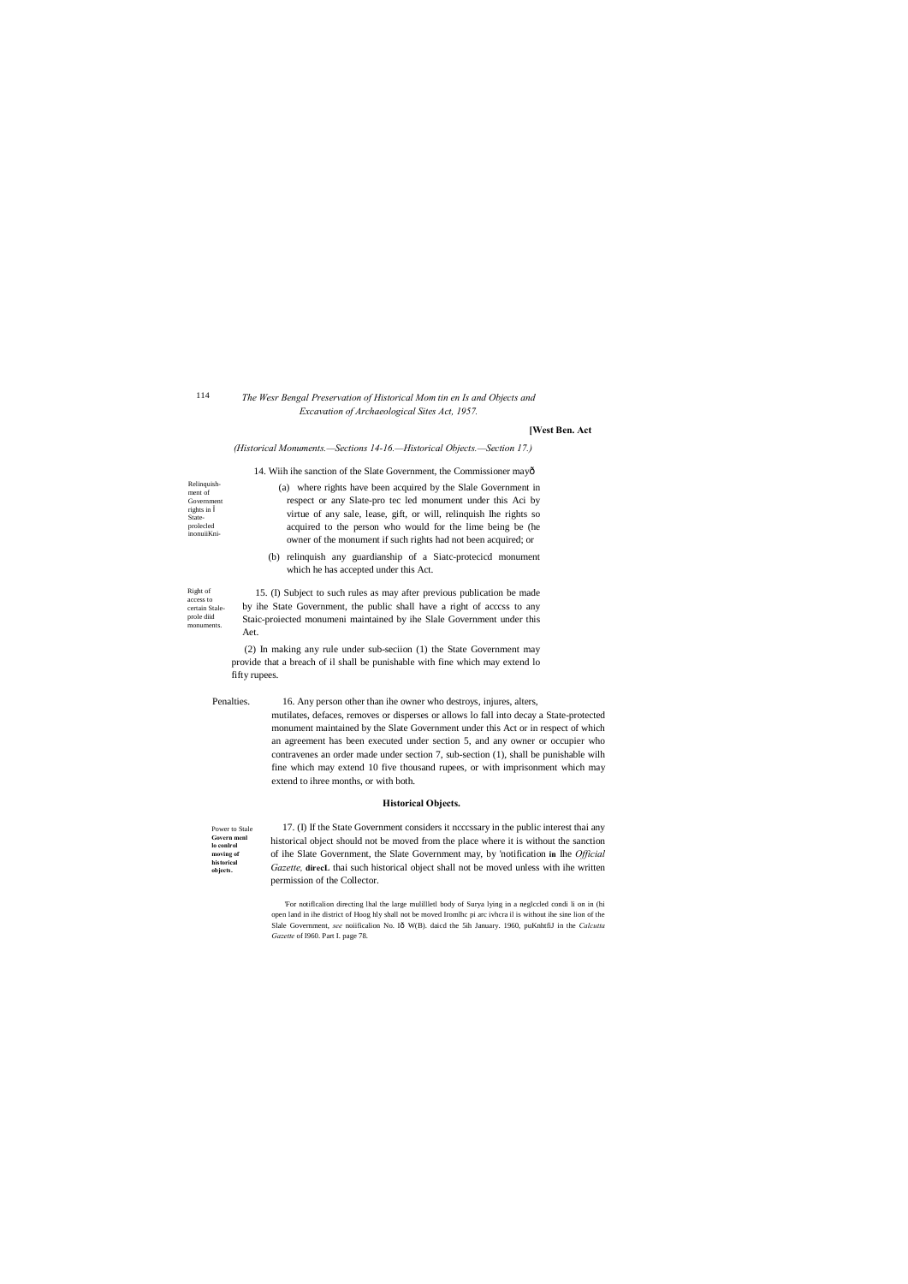Right of access to certain Staleprole diid monuments.

Relinquishment of Governmen rights in Stateprolecled inonuiiKni-

> Power to Stale **Govern menl lo conlrol moving of historical objects.**

*The Wesr Bengal Preservation of Historical Mom tin en Is and Objects and Excavation of Archaeological Sites Act, 1957.*

#### **[West Ben. Act**

#### *(Historical Monuments.—Sections 14-16.—Historical Objects.—Section 17.)*

14. Wiih ihe sanction of the Slate Government, the Commissioner may—

(a) where rights have been acquired by the Slale Government in respect or any Slate-pro tec led monument under this Aci by virtue of any sale, lease, gift, or will, relinquish Ihe rights so acquired to the person who would for the lime being be (he owner of the monument if such rights had not been acquired; or

(b) relinquish any guardianship of a Siatc-protecicd monument which he has accepted under this Act.

15. (I) Subject to such rules as may after previous publication be made by ihe State Government, the public shall have a right of acccss to any Staic-proiected monumeni maintained by ihe Slale Government under this Aet.

(2) In making any rule under sub-seciion (1) the State Government may provide that a breach of il shall be punishable with fine which may extend lo fifty rupees.

Penalties. 16. Any person other than ihe owner who destroys, injures, alters,

mutilates, defaces, removes or disperses or allows lo fall into decay a State-protected monument maintained by the Slate Government under this Act or in respect of which an agreement has been executed under section 5, and any owner or occupier who contravenes an order made under section 7, sub-section (1), shall be punishable wilh fine which may extend 10 five thousand rupees, or with imprisonment which may extend to ihree months, or with both.

### **Historical Objects.**

17. (I) If the State Government considers it ncccssary in the public interest thai any historical object should not be moved from the place where it is without the sanction of ihe Slate Government, the Slate Government may, by 'notification **in** Ihe *Official Gazette,* **direcL** thai such historical object shall not be moved unless with ihe written permission of the Collector.

'For notiflcalion directing lhal the large mulillletl body of Surya lying in a neglccled condi li on in (hi open land in ihe district of Hoog hly shall not be moved Iromlhc pi arc ivhcra il is without ihe sine lion of the Slale Government, see noiificalion No. Iô W(B). daicd the 5ih January. 1960, puKnhtfiJ in the *Calcutta Gazette* of I960. Part I. page 78.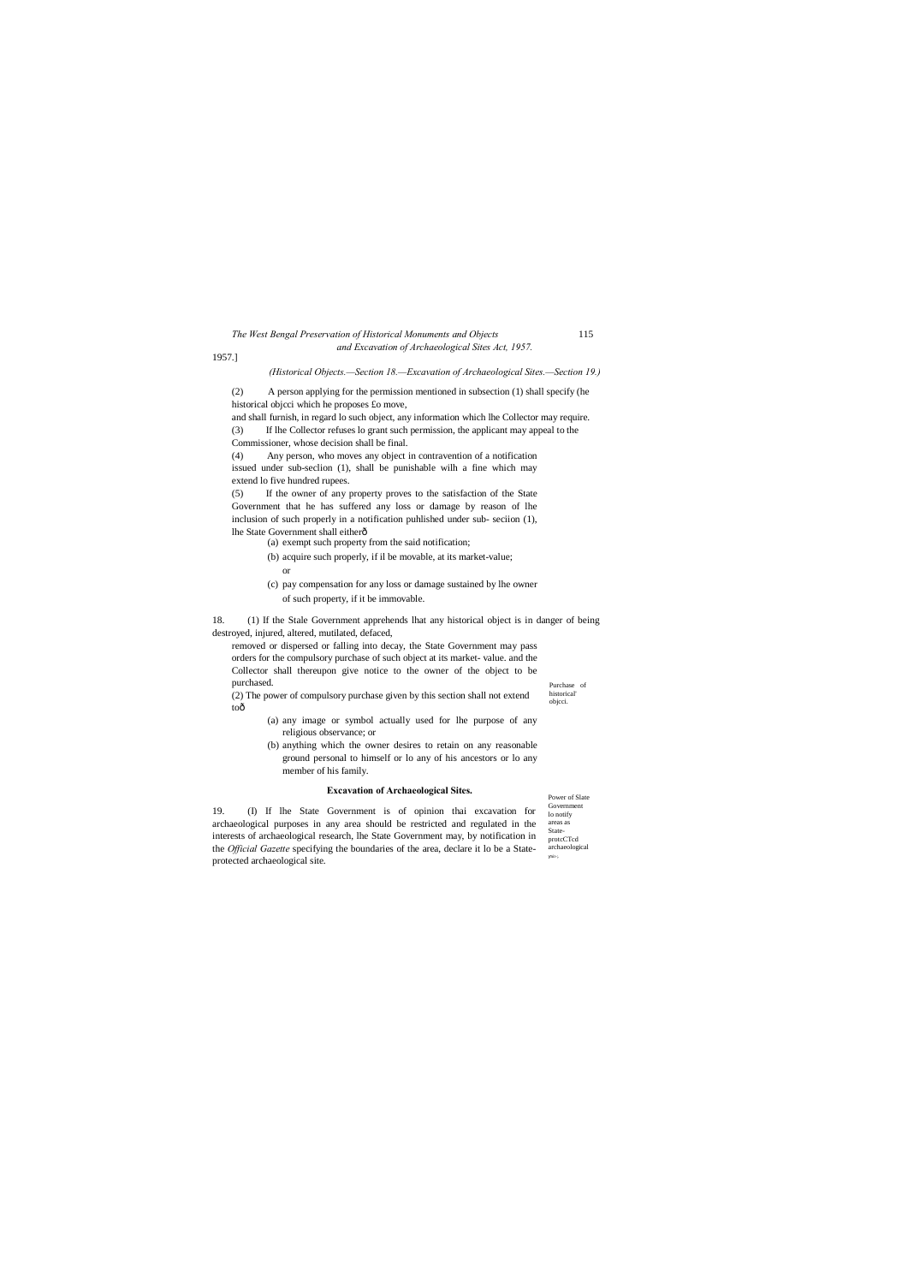Purchase of historical' objcci.

Power of Slate Government lo notify areas as StateprotcCTcd archaeological nit-;.

### *The West Bengal Preservation of Historical Monuments and Objects* 115 *and Excavation of Archaeological Sites Act, 1957.*

1957.]

toô

#### *(Historical Objects.—Section 18.—Excavation of Archaeological Sites.—Section 19.)*

(2) A person applying for the permission mentioned in subsection (1) shall specify (he historical objcci which he proposes £o move,

and shall furnish, in regard lo such object, any information which lhe Collector may require. (3) If lhe Collector refuses lo grant such permission, the applicant may appeal to the

Commissioner, whose decision shall be final.

(4) Any person, who moves any object in contravention of a notification issued under sub-seclion (1), shall be punishable wilh a fine which may extend lo five hundred rupees.

(5) If the owner of any property proves to the satisfaction of the State Government that he has suffered any loss or damage by reason of lhe inclusion of such properly in a notification puhlished under sub- seciion (1), lhe State Government shall either—

(a) exempt such property from the said notification;

(b) acquire such properly, if il be movable, at its market-value; or

(c) pay compensation for any loss or damage sustained by lhe owner of such property, if it be immovable.

18. (1) If the Stale Government apprehends lhat any historical object is in danger of being destroyed, injured, altered, mutilated, defaced,

removed or dispersed or falling into decay, the State Government may pass orders for the compulsory purchase of such object at its market- value. and the Collector shall thereupon give notice to the owner of the object to be purchased. (2) The power of compulsory purchase given by this section shall not extend

(a) any image or symbol actually used for lhe purpose of any religious observance; or

(b) anything which the owner desires to retain on any reasonable ground personal to himself or lo any of his ancestors or lo any member of his family.

### **Excavation of Archaeological Sites.**

19. (I) If lhe State Government is of opinion thai excavation for archaeological purposes in any area should be restricted and regulated in the interests of archaeological research, lhe State Government may, by notification in the *Official Gazette* specifying the boundaries of the area, declare it lo be a Stateprotected archaeological site.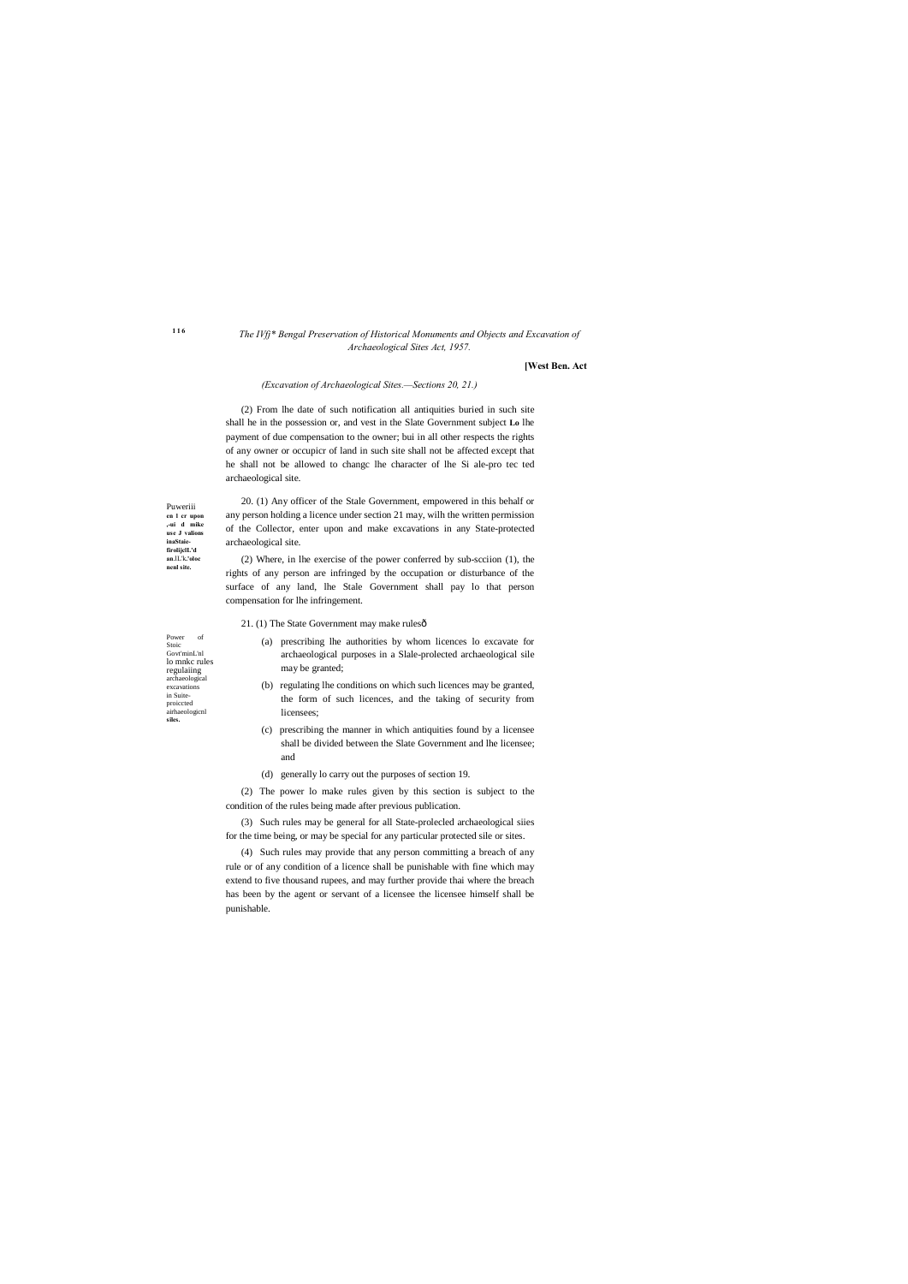**1 1 6**

Puweriii **en l cr upon ,-ui d mike use J valions inaStaiefirolijclL'd an**.lL'k**.'oloc nenl site.**

Power of Stoic Govt'minL'nl lo mnkc rules regulaiing archaeological excavations in Suiteproiccted airhaeologicnl

**siles.**

### *The IVfj\* Bengal Preservation of Historical Monuments and Objects and Excavation of Archaeological Sites Act, 1957.*

### **[West Ben. Act**

#### *(Excavation of Archaeological Sites.—Sections 20, 21.)*

(2) From lhe date of such notification all antiquities buried in such site shall he in the possession or, and vest in the Slate Government subject **Lo** lhe payment of due compensation to the owner; bui in all other respects the rights of any owner or occupicr of land in such site shall not be affected except that he shall not be allowed to changc lhe character of lhe Si ale-pro tec ted archaeological site.

- 21. (1) The State Government may make rulesô
	- (a) prescribing lhe authorities by whom licences lo excavate for archaeological purposes in a Slale-prolected archaeological sile may be granted;
	- (b) regulating lhe conditions on which such licences may be granted, the form of such licences, and the taking of security from licensees;
	- (c) prescribing the manner in which antiquities found by a licensee shall be divided between the Slate Government and lhe licensee; and
	- (d) generally lo carry out the purposes of section 19.

20. (1) Any officer of the Stale Government, empowered in this behalf or any person holding a licence under section 21 may, wilh the written permission of the Collector, enter upon and make excavations in any State-protected archaeological site.

(2) Where, in lhe exercise of the power conferred by sub-scciion (1), the rights of any person are infringed by the occupation or disturbance of the surface of any land, lhe Stale Government shall pay lo that person compensation for lhe infringement.

(2) The power lo make rules given by this section is subject to the condition of the rules being made after previous publication.

(3) Such rules may be general for all State-prolecled archaeological siies for the time being, or may be special for any particular protected sile or sites.

(4) Such rules may provide that any person committing a breach of any rule or of any condition of a licence shall be punishable with fine which may extend to five thousand rupees, and may further provide thai where the breach has been by the agent or servant of a licensee the licensee himself shall be punishable.